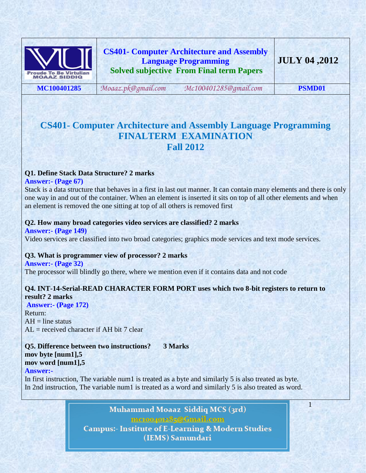

# **CS401- Computer Architecture and Assembly Language Programming Solved subjective From Final term Papers**

**MC100401285** *[Moaaz.pk@gmail.com](mailto:Moaaz.pk@gmail.com) [Mc100401285@gmail.com](mailto:Mc100401285@gmail.com)* **PSMD01**

1

# **CS401- Computer Architecture and Assembly Language Programming FINALTERM EXAMINATION Fall 2012**

## **Q1. Define Stack Data Structure? 2 marks**

**Answer:- (Page 67)** 

Stack is a data structure that behaves in a first in last out manner. It can contain many elements and there is only one way in and out of the container. When an element is inserted it sits on top of all other elements and when an element is removed the one sitting at top of all others is removed first

### **Q2. How many broad categories video services are classified? 2 marks**

**Answer:- (Page 149)**  Video services are classified into two broad categories; graphics mode services and text mode services.

### **Q3. What is programmer view of processor? 2 marks**

**Answer:- (Page 32)**  The processor will blindly go there, where we mention even if it contains data and not code

#### **Q4. INT-14-Serial-READ CHARACTER FORM PORT uses which two 8-bit registers to return to result? 2 marks**

**Answer:- (Page 172)**  Return:  $AH = line$  status  $AL = received character if AH bit 7 clear$ 

# **Q5. Difference between two instructions? 3 Marks mov byte [num1],5**

# **mov word [num1],5**

**Answer:-**

In first instruction, The variable num1 is treated as a byte and similarly 5 is also treated as byte. In 2nd instruction, The variable num1 is treated as a word and similarly 5 is also treated as word.

> Muhammad Moaaz Siddiq MCS (3rd) mctoo4ot285@Gmail.com **Campus:- Institute of E-Learning & Modern Studies** (IEMS) Samundari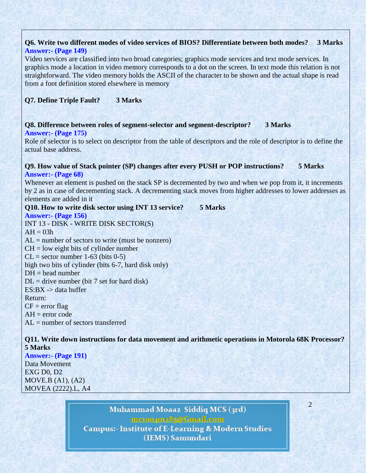## **Q6. Write two different modes of video services of BIOS? Differentiate between both modes? 3 Marks Answer:- (Page 149)**

Video services are classified into two broad categories; graphics mode services and text mode services. In graphics mode a location in video memory corresponds to a dot on the screen. In text mode this relation is not straightforward. The video memory holds the ASCII of the character to be shown and the actual shape is read from a font definition stored elsewhere in memory

## **Q7. Define Triple Fault? 3 Marks**

### **Q8. Difference between roles of segment-selector and segment-descriptor? 3 Marks Answer:- (Page 175)**

Role of selector is to select on descriptor from the table of descriptors and the role of descriptor is to define the actual base address.

### **Q9. How value of Stack pointer (SP) changes after every PUSH or POP instructions? 5 Marks Answer:- (Page 68)**

Whenever an element is pushed on the stack SP is decremented by two and when we pop from it, it increments by 2 as in case of decrementing stack. A decrementing stack moves from higher addresses to lower addresses as elements are added in it

**Q10. How to write disk sector using INT 13 service? 5 Marks**

#### **Answer:- (Page 156)**

INT 13 - DISK - WRITE DISK SECTOR(S)  $AH = 03h$ 

 $AL =$  number of sectors to write (must be nonzero)

 $CH =$  low eight bits of cylinder number

 $CL = sector number 1-63 (bits 0-5)$ 

high two bits of cylinder (bits 6-7, hard disk only)

 $DH = head$  number

 $DL =$  drive number (bit 7 set for hard disk)

 $ES:BX \rightarrow data$  buffer

#### Return:

 $CF = error flag$ 

 $AH = error code$ 

AL = number of sectors transferred

**Q11. Write down instructions for data movement and arithmetic operations in Motorola 68K Processor? 5 Marks**

### **Answer:- (Page 191)**

Data Movement EXG D0, D2 MOVE.B (A1), (A2) MOVEA (2222).L, A4

> Muhammad Moaaz Siddiq MCS (3rd) mctoo4ot285@Gmail.com **Campus:- Institute of E-Learning & Modern Studies** (IEMS) Samundari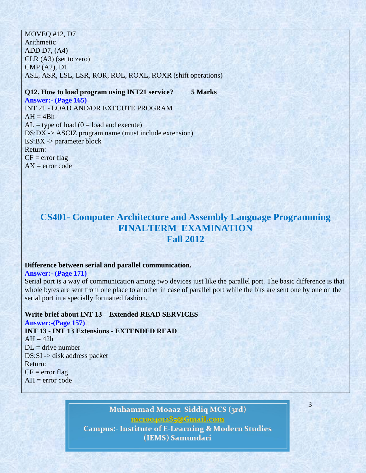#### MOVEQ #12, D7

Arithmetic ADD D7, (A4) CLR (A3) (set to zero) CMP (A2), D1 ASL, ASR, LSL, LSR, ROR, ROL, ROXL, ROXR (shift operations)

**Q12. How to load program using INT21 service? 5 Marks Answer:- (Page 165)**  INT 21 - LOAD AND/OR EXECUTE PROGRAM  $AH = 4Bh$  $AL = type of load (0 = load and execute)$ DS:DX -> ASCIZ program name (must include extension)  $ES:BX \rightarrow parameter block$ Return:  $CF = error flag$  $AX = error code$ 

# **CS401- Computer Architecture and Assembly Language Programming FINALTERM EXAMINATION Fall 2012**

#### **Difference between serial and parallel communication.**

**Answer:- (Page 171)**

Serial port is a way of communication among two devices just like the parallel port. The basic difference is that whole bytes are sent from one place to another in case of parallel port while the bits are sent one by one on the serial port in a specially formatted fashion.

#### **Write brief about INT 13 – Extended READ SERVICES**

**Answer:-(Page 157) INT 13 - INT 13 Extensions - EXTENDED READ**  $AH = 42h$  $DL =$  drive number DS:SI -> disk address packet Return:  $CF = error flag$  $AH = error code$ 

# Muhammad Moaaz Siddiq MCS (3rd) mc.compress@Gmail.com

3

**Campus:- Institute of E-Learning & Modern Studies** (IEMS) Samundari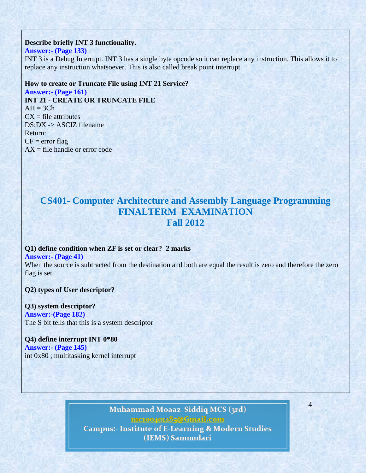#### **Describe briefly INT 3 functionality.**

#### **Answer:- (Page 133)**

INT 3 is a Debug Interrupt. INT 3 has a single byte opcode so it can replace any instruction. This allows it to replace any instruction whatsoever. This is also called break point interrupt.

#### **How to create or Truncate File using INT 21 Service?**

**Answer:- (Page 161) INT 21 - CREATE OR TRUNCATE FILE**  $AH = 3Ch$  $CX = file$  attributes DS:DX -> ASCIZ filename Return:  $CF = error flag$  $AX = file$  handle or error code

# **CS401- Computer Architecture and Assembly Language Programming FINALTERM EXAMINATION Fall 2012**

# **Q1) define condition when ZF is set or clear? 2 marks**

#### **Answer:- (Page 41)**

When the source is subtracted from the destination and both are equal the result is zero and therefore the zero flag is set.

**Q2) types of User descriptor?**

## **Q3) system descriptor?**

**Answer:-(Page 182)** The S bit tells that this is a system descriptor

# **Q4) define interrupt INT 0\*80 Answer:- (Page 145)**

int 0x80 ; multitasking kernel interrupt

# Muhammad Moaaz Siddiq MCS (3rd) mctoo4ot285@Gmail.com **Campus:- Institute of E-Learning & Modern Studies**

4

(IEMS) Samundari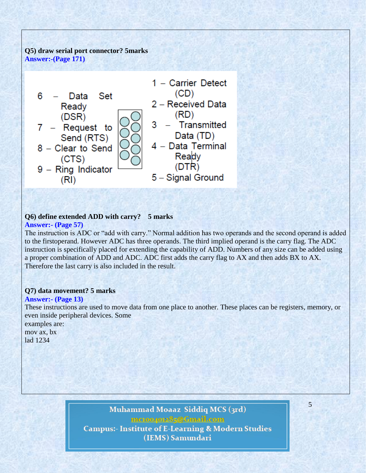## **Q5) draw serial port connector? 5marks Answer:-(Page 171)**



# **Q6) define extended ADD with carry? 5 marks**

# **Answer:- (Page 57)**

The instruction is ADC or "add with carry." Normal addition has two operands and the second operand is added to the firstoperand. However ADC has three operands. The third implied operand is the carry flag. The ADC instruction is specifically placed for extending the capability of ADD. Numbers of any size can be added using a proper combination of ADD and ADC. ADC first adds the carry flag to AX and then adds BX to AX. Therefore the last carry is also included in the result.

## **Q7) data movement? 5 marks**

### **Answer:- (Page 13)**

These instructions are used to move data from one place to another. These places can be registers, memory, or even inside peripheral devices. Some examples are: mov ax, bx lad 1234

# Muhammad Moaaz Siddiq MCS (3rd) mctoo4ot285@Gmail.com **Campus:- Institute of E-Learning & Modern Studies** (IEMS) Samundari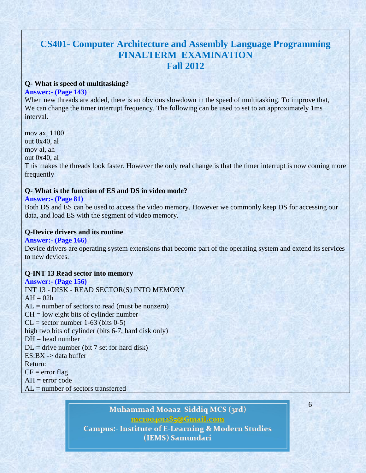# **CS401- Computer Architecture and Assembly Language Programming FINALTERM EXAMINATION Fall 2012**

#### **Q- What is speed of multitasking?**

#### **Answer:- (Page 143)**

When new threads are added, there is an obvious slowdown in the speed of multitasking. To improve that, We can change the timer interrupt frequency. The following can be used to set to an approximately 1ms interval.

mov ax, 1100 out 0x40, al mov al, ah out 0x40, al This makes the threads look faster. However the only real change is that the timer interrupt is now coming more frequently

#### **Q- What is the function of ES and DS in video mode?**

#### **Answer:- (Page 81)**

Both DS and ES can be used to access the video memory. However we commonly keep DS for accessing our data, and load ES with the segment of video memory.

#### **Q-Device drivers and its routine**

### **Answer:- (Page 166)**

Device drivers are operating system extensions that become part of the operating system and extend its services to new devices.

### **Q-INT 13 Read sector into memory**

## **Answer:- (Page 156)**  INT 13 - DISK - READ SECTOR(S) INTO MEMORY  $AH = 02h$  $AL =$  number of sectors to read (must be nonzero)  $CH = low$  eight bits of cylinder number  $CL = sector number 1-63 (bits 0-5)$ high two bits of cylinder (bits 6-7, hard disk only)  $DH = head$  number  $DL =$  drive number (bit 7 set for hard disk)  $ES:BX \rightarrow data$  buffer Return:  $CF = error flag$  $AH = error code$

AL = number of sectors transferred

# Muhammad Moaaz Siddiq MCS (3rd)

mctoo4ot285@Gmail.com

6

**Campus:- Institute of E-Learning & Modern Studies** (IEMS) Samundari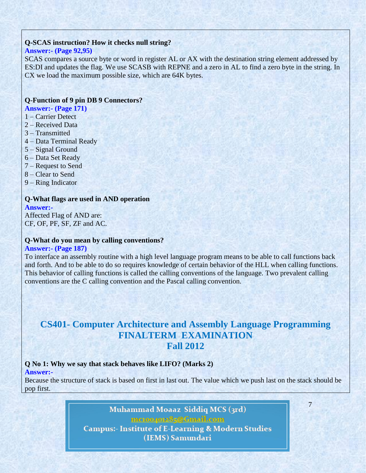#### **Q-SCAS instruction? How it checks null string?**

#### **Answer:- (Page 92,95)**

SCAS compares a source byte or word in register AL or AX with the destination string element addressed by ES:DI and updates the flag. We use SCASB with REPNE and a zero in AL to find a zero byte in the string. In CX we load the maximum possible size, which are 64K bytes.

#### **Q-Function of 9 pin DB 9 Connectors?**

**Answer:- (Page 171)** 

- 1 Carrier Detect
- 2 Received Data
- 3 Transmitted
- 4 Data Terminal Ready
- 5 Signal Ground
- 6 Data Set Ready
- 7 Request to Send
- 8 Clear to Send
- 9 Ring Indicator

#### **Q-What flags are used in AND operation Answer:-**

Affected Flag of AND are: CF, OF, PF, SF, ZF and AC.

#### **Q-What do you mean by calling conventions?**

#### **Answer:- (Page 187)**

To interface an assembly routine with a high level language program means to be able to call functions back and forth. And to be able to do so requires knowledge of certain behavior of the HLL when calling functions. This behavior of calling functions is called the calling conventions of the language. Two prevalent calling conventions are the C calling convention and the Pascal calling convention.

# **CS401- Computer Architecture and Assembly Language Programming FINALTERM EXAMINATION Fall 2012**

### **Q No 1: Why we say that stack behaves like LIFO? (Marks 2)**

**Answer:-**

Because the structure of stack is based on first in last out. The value which we push last on the stack should be pop first.

7

Muhammad Moaaz Siddiq MCS (3rd) mctoo4ot285@Gmail.com **Campus:- Institute of E-Learning & Modern Studies** (IEMS) Samundari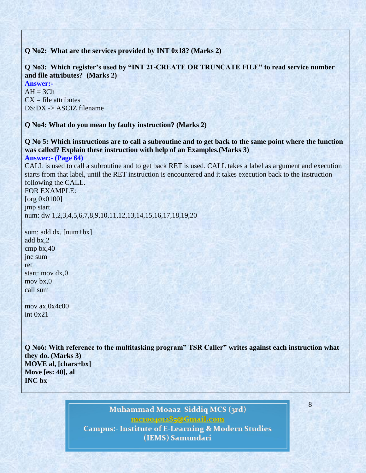**Q No2: What are the services provided by INT 0x18? (Marks 2)**

**Q No3: Which register's used by "INT 21-CREATE OR TRUNCATE FILE" to read service number and file attributes? (Marks 2)**

**Answer:-**  $AH = 3Ch$  $CX = file$  attributes DS:DX -> ASCIZ filename

**Q No4: What do you mean by faulty instruction? (Marks 2)**

**Q No 5: Which instructions are to call a subroutine and to get back to the same point where the function was called? Explain these instruction with help of an Examples.(Marks 3)**

**Answer:- (Page 64)** 

CALL is used to call a subroutine and to get back RET is used. CALL takes a label as argument and execution starts from that label, until the RET instruction is encountered and it takes execution back to the instruction following the CALL.

FOR EXAMPLE: [org 0x0100] jmp start num: dw 1,2,3,4,5,6,7,8,9,10,11,12,13,14,15,16,17,18,19,20

sum: add dx, [num+bx] add bx,2 cmp bx,40 jne sum ret start: mov dx,0 mov bx,0 call sum

mov ax,0x4c00 int 0x21

**Q No6: With reference to the multitasking program" TSR Caller" writes against each instruction what they do. (Marks 3) MOVE al, [chars+bx] Move [es: 40], al INC bx**

8

Muhammad Moaaz Siddiq MCS (3rd) mc.compress@Gmail.com **Campus:- Institute of E-Learning & Modern Studies** (IEMS) Samundari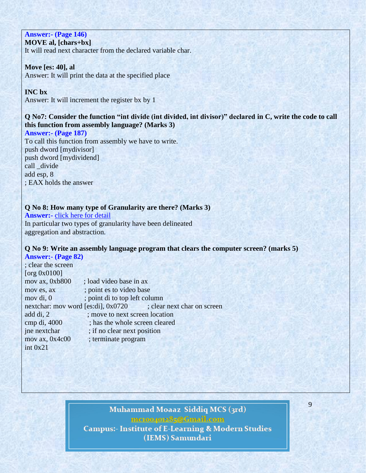# **Answer:- (Page 146)**

**MOVE al, [chars+bx]**

It will read next character from the declared variable char.

### **Move [es: 40], al**

Answer: It will print the data at the specified place

### **INC bx**

Answer: It will increment the register bx by 1

# **Q No7: Consider the function "int divide (int divided, int divisor)" declared in C, write the code to call this function from assembly language? (Marks 3)**

**Answer:- (Page 187)**  To call this function from assembly we have to write. push dword [mydivisor] push dword [mydividend] call divide add esp, 8 ; EAX holds the answer

### **Q No 8: How many type of Granularity are there? (Marks 3)**

**Answer:-** [click here for detail](http://citeseerx.ist.psu.edu/viewdoc/download?doi=10.1.1.54.3088&rep=rep1&type=pdf) In particular two types of granularity have been delineated aggregation and abstraction.

## **Q No 9: Write an assembly language program that clears the computer screen? (marks 5)**

**Answer:- (Page 82)**  ; clear the screen [org 0x0100] mov ax, 0xb800 ; load video base in ax mov es, ax ; point es to video base mov di, 0 ; point di to top left column nextchar: mov word [es:di], 0x0720 ; clear next char on screen add di, 2 : move to next screen location cmp di, 4000 ; has the whole screen cleared jne nextchar ; if no clear next position mov ax, 0x4c00 ; terminate program int 0x21

# Muhammad Moaaz Siddiq MCS (3rd) mctoo4ot285@Gmail.com **Campus:- Institute of E-Learning & Modern Studies** (IEMS) Samundari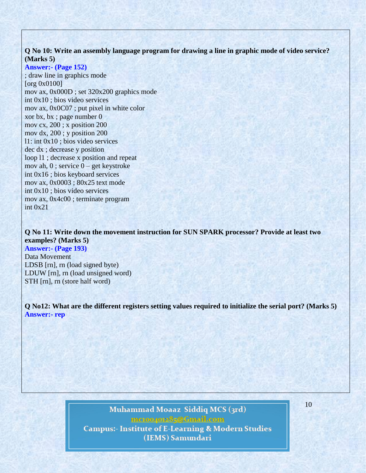## **Q No 10: Write an assembly language program for drawing a line in graphic mode of video service? (Marks 5)**

**Answer:- (Page 152)**  ; draw line in graphics mode [org 0x0100] mov ax, 0x000D ; set 320x200 graphics mode int 0x10 ; bios video services mov ax, 0x0C07 ; put pixel in white color xor bx, bx ; page number 0 mov cx, 200 ; x position 200 mov dx, 200 ; y position 200 l1: int 0x10 ; bios video services dec dx ; decrease y position loop l1 ; decrease x position and repeat mov ah, 0 ; service 0 – get keystroke int 0x16 ; bios keyboard services mov ax, 0x0003 ; 80x25 text mode int 0x10 ; bios video services mov ax, 0x4c00 ; terminate program int 0x21

**Q No 11: Write down the movement instruction for SUN SPARK processor? Provide at least two examples? (Marks 5)**

**Answer:- (Page 193)**  Data Movement LDSB [rn], rn (load signed byte) LDUW [rn], rn (load unsigned word) STH [rn], rn (store half word)

**Q No12: What are the different registers setting values required to initialize the serial port? (Marks 5) Answer:- rep**

# Muhammad Moaaz Siddiq MCS (3rd) mc.compress@Gmail.com **Campus:- Institute of E-Learning & Modern Studies** (IEMS) Samundari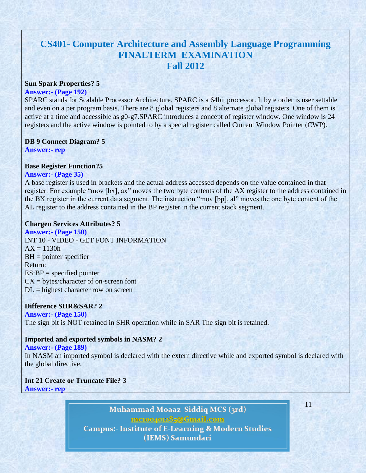# **CS401- Computer Architecture and Assembly Language Programming FINALTERM EXAMINATION Fall 2012**

#### **Sun Spark Properties? 5**

#### **Answer:- (Page 192)**

SPARC stands for Scalable Processor Architecture. SPARC is a 64bit processor. It byte order is user settable and even on a per program basis. There are 8 global registers and 8 alternate global registers. One of them is active at a time and accessible as g0-g7.SPARC introduces a concept of register window. One window is 24 registers and the active window is pointed to by a special register called Current Window Pointer (CWP).

### **DB 9 Connect Diagram? 5**

**Answer:- rep**

## **Base Register Function?5**

#### **Answer:- (Page 35)**

A base register is used in brackets and the actual address accessed depends on the value contained in that register. For example "mov [bx], ax" moves the two byte contents of the AX register to the address contained in the BX register in the current data segment. The instruction "mov [bp], al" moves the one byte content of the AL register to the address contained in the BP register in the current stack segment.

#### **Chargen Services Attributes? 5**

**Answer:- (Page 150)**  INT 10 - VIDEO - GET FONT INFORMATION  $AX = 1130h$ BH = pointer specifier Return:  $ES:BP = specified pointer$  $CX = bytes/character of on-screen font$  $DL = highest character row on screen$ 

### **Difference SHR&SAR? 2**

**Answer:- (Page 150)**  The sign bit is NOT retained in SHR operation while in SAR The sign bit is retained.

#### **Imported and exported symbols in NASM? 2**

#### **Answer:- (Page 189)**

In NASM an imported symbol is declared with the extern directive while and exported symbol is declared with the global directive.

#### **Int 21 Create or Truncate File? 3 Answer:- rep**

Muhammad Moaaz Siddiq MCS (3rd) mctoo4ot285@Gmail.com **Campus:- Institute of E-Learning & Modern Studies** (IEMS) Samundari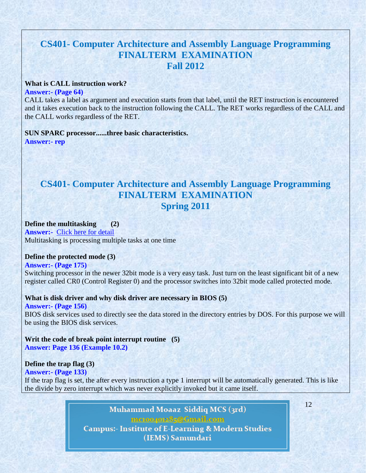# **CS401- Computer Architecture and Assembly Language Programming FINALTERM EXAMINATION Fall 2012**

#### **What is CALL instruction work?**

#### **Answer:- (Page 64)**

CALL takes a label as argument and execution starts from that label, until the RET instruction is encountered and it takes execution back to the instruction following the CALL. The RET works regardless of the CALL and the CALL works regardless of the RET.

#### **SUN SPARC processor......three basic characteristics. Answer:- rep**

# **CS401- Computer Architecture and Assembly Language Programming FINALTERM EXAMINATION Spring 2011**

#### **Define the multitasking (2) Answer:-** [Click here for detail](http://www.techterms.com/definition/multitasking) Multitasking is processing multiple tasks at one time

#### **Define the protected mode (3)**

# **Answer:- (Page 175)**

Switching processor in the newer 32bit mode is a very easy task. Just turn on the least significant bit of a new register called CR0 (Control Register 0) and the processor switches into 32bit mode called protected mode.

#### **What is disk driver and why disk driver are necessary in BIOS (5)**

**Answer:- (Page 156)**  BIOS disk services used to directly see the data stored in the directory entries by DOS. For this purpose we will be using the BIOS disk services.

**Writ the code of break point interrupt routine (5) Answer: Page 136 (Example 10.2)**

### **Define the trap flag (3)**

### **Answer:- (Page 133)**

If the trap flag is set, the after every instruction a type 1 interrupt will be automatically generated. This is like the divide by zero interrupt which was never explicitly invoked but it came itself.

> Muhammad Moaaz Siddiq MCS (3rd) mctoo4ot285@Gmail.com **Campus:- Institute of E-Learning & Modern Studies** (IEMS) Samundari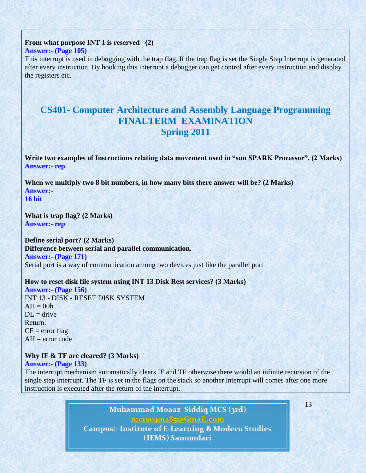# **From what purpose INT 1 is reserved (2)**

## **Answer:- (Page 105)**

This interrupt is used in debugging with the trap flag. If the trap flag is set the Single Step Interrupt is generated after every instruction. By hooking this interrupt a debugger can get control after every instruction and display the registers etc.

# **CS401- Computer Architecture and Assembly Language Programming FINALTERM EXAMINATION Spring 2011**

**Write two examples of Instructions relating data movement used in "sun SPARK Processor". (2 Marks) Answer:- rep**

**When we multiply two 8 bit numbers, in how many bits there answer will be? (2 Marks) Answer:- 16 bit**

**What is trap flag? (2 Marks) Answer:- rep**

### **Define serial port? (2 Marks) Difference between serial and parallel communication.**

**Answer:- (Page 171)** Serial port is a way of communication among two devices just like the parallel port

### **How to reset disk file system using INT 13 Disk Rest services? (3 Marks)**

**Answer:- (Page 156)** INT 13 - DISK - RESET DISK SYSTEM  $AH = 00h$  $DI = drive$ Return:  $CF = error flag$  $AH = error code$ 

### **Why IF & TF are cleared? (3 Marks)**

### **Answer:- (Page 133)**

The interrupt mechanism automatically clears IF and TF otherwise there would an infinite recursion of the single step interrupt. The TF is set in the flags on the stack so another interrupt will comes after one more instruction is executed after the return of the interrupt.

> Muhammad Moaaz Siddiq MCS (3rd) mctoo4ot285@Gmail.com **Campus:- Institute of E-Learning & Modern Studies** (IEMS) Samundari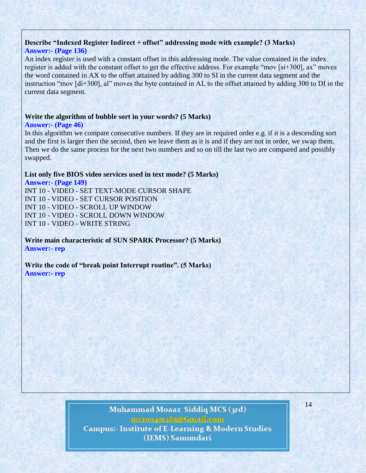# **Describe "Indexed Register Indirect + offset" addressing mode with example? (3 Marks)**

### **Answer:- (Page 136)**

An index register is used with a constant offset in this addressing mode. The value contained in the index register is added with the constant offset to get the effective address. For example "mov [si+300], ax" moves the word contained in AX to the offset attained by adding 300 to SI in the current data segment and the instruction "mov [di+300], al" moves the byte contained in AL to the offset attained by adding 300 to DI in the current data segment.

### **Write the algorithm of bubble sort in your words? (5 Marks)**

#### **Answer:- (Page 46)**

In this algorithm we compare consecutive numbers. If they are in required order e.g. if it is a descending sort and the first is larger then the second, then we leave them as it is and if they are not in order, we swap them. Then we do the same process for the next two numbers and so on till the last two are compared and possibly swapped.

### **List only five BIOS video services used in text mode? (5 Marks)**

**Answer:- (Page 149)** INT 10 - VIDEO - SET TEXT-MODE CURSOR SHAPE INT 10 - VIDEO - SET CURSOR POSITION INT 10 - VIDEO - SCROLL UP WINDOW INT 10 - VIDEO - SCROLL DOWN WINDOW INT 10 - VIDEO - WRITE STRING

**Write main characteristic of SUN SPARK Processor? (5 Marks) Answer:- rep**

**Write the code of "break point Interrupt routine". (5 Marks) Answer:- rep**

# Muhammad Moaaz Siddiq MCS (3rd) mctoo4ot285@Gmail.com **Campus:- Institute of E-Learning & Modern Studies** (IEMS) Samundari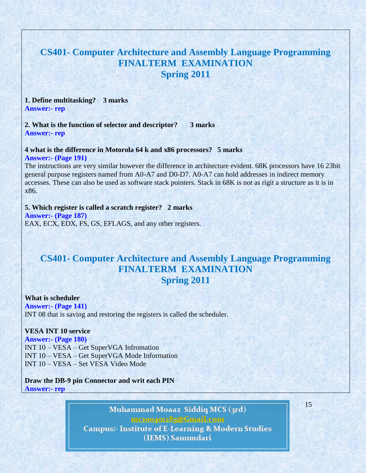# **CS401- Computer Architecture and Assembly Language Programming FINALTERM EXAMINATION Spring 2011**

**1. Define multitasking? 3 marks Answer:- rep**

**2. What is the function of selector and descriptor? 3 marks Answer:- rep**

**4 what is the difference in Motorola 64 k and x86 processors? 5 marks Answer:- (Page 191)**

The instructions are very similar however the difference in architecture evident. 68K processors have 16 23bit general purpose registers named from A0-A7 and D0-D7. A0-A7 can hold addresses in indirect memory accesses. These can also be used as software stack pointers. Stack in 68K is not as rigit a structure as it is in x86.

**5. Which register is called a scratch register? 2 marks Answer:- (Page 187)** EAX, ECX, EDX, FS, GS, EFLAGS, and any other registers.

# **CS401- Computer Architecture and Assembly Language Programming FINALTERM EXAMINATION Spring 2011**

**What is scheduler Answer:- (Page 141)** INT 08 that is saving and restoring the registers is called the scheduler.

#### **VESA INT 10 service**

**Answer:- (Page 180)** INT 10 – VESA – Get SuperVGA Infromation INT 10 – VESA – Get SuperVGA Mode Information INT 10 – VESA – Set VESA Video Mode

**Draw the DB-9 pin Connector and writ each PIN Answer:- rep**

> Muhammad Moaaz Siddiq MCS (3rd) mc.compress@Gmail.com **Campus:- Institute of E-Learning & Modern Studies** (IEMS) Samundari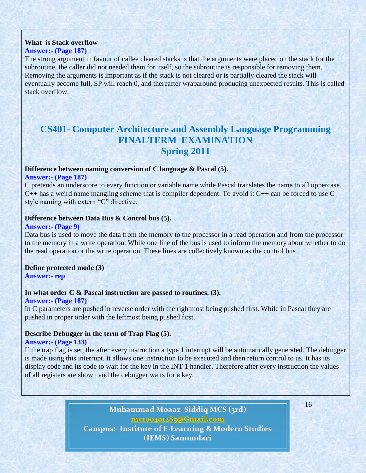### **What is Stack overflow**

#### **Answer:- (Page 187)**

The strong argument in favour of callee cleared stacks is that the arguments were placed on the stack for the subroutine, the caller did not needed them for itself, so the subroutine is responsible for removing them. Removing the arguments is important as if the stack is not cleared or is partially cleared the stack will eventually become full, SP will reach 0, and thereafter wraparound producing unexpected results. This is called stack overflow.

# **CS401- Computer Architecture and Assembly Language Programming FINALTERM EXAMINATION Spring 2011**

## **Difference between naming conversion of C language & Pascal (5).**

### **Answer:- (Page 187)**

C pretends an underscore to every function or variable name while Pascal translates the name to all uppercase. C++ has a weird name mangling scheme that is compiler dependent. To avoid it C++ can be forced to use C style naming with extern "C" directive.

#### **Difference between Data Bus & Control bus (5).**

#### **Answer:- (Page 9)**

Data bus is used to move the data from the memory to the processor in a read operation and from the processor to the memory in a write operation. While one line of the bus is used to inform the memory about whether to do the read operation or the write operation. These lines are collectively known as the control bus

**Define protected mode (3) Answer:- rep**

### **In what order C & Pascal instruction are passed to routines. (3).**

**Answer:- (Page 187)**  In C parameters are pushed in reverse order with the rightmost being pushed first. While in Pascal they are pushed in proper order with the leftmost being pushed first.

### **Describe Debugger in the term of Trap Flag (5).**

#### **Answer:- (Page 133)**

If the trap flag is set, the after every instruction a type 1 interrupt will be automatically generated. The debugger is made using this interrupt. It allows one instruction to be executed and then return control to us. It has its display code and its code to wait for the key in the INT 1 handler. Therefore after every instruction the values of all registers are shown and the debugger waits for a key.

> Muhammad Moaaz Siddiq MCS (3rd) mctoo4ot285@Gmail.com **Campus:- Institute of E-Learning & Modern Studies** (IEMS) Samundari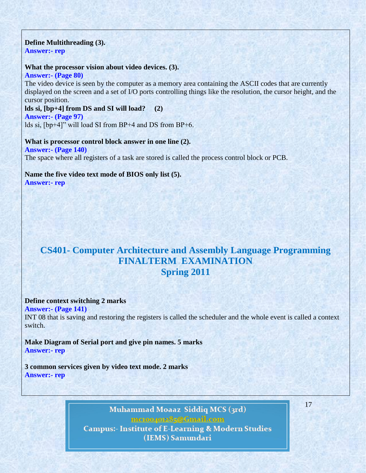### **Define Multithreading (3).**

**Answer:- rep**

#### **What the processor vision about video devices. (3).**

**Answer:- (Page 80)** 

The video device is seen by the computer as a memory area containing the ASCII codes that are currently displayed on the screen and a set of I/O ports controlling things like the resolution, the cursor height, and the cursor position.

**lds si, [bp+4] from DS and SI will load? (2)**

**Answer:- (Page 97)** 

lds si, [bp+4]" will load SI from BP+4 and DS from BP+6.

**What is processor control block answer in one line (2). Answer:- (Page 140)**  The space where all registers of a task are stored is called the process control block or PCB.

**Name the five video text mode of BIOS only list (5). Answer:- rep**

# **CS401- Computer Architecture and Assembly Language Programming FINALTERM EXAMINATION Spring 2011**

#### **Define context switching 2 marks**

**Answer:- (Page 141)**  INT 08 that is saving and restoring the registers is called the scheduler and the whole event is called a context switch.

**Make Diagram of Serial port and give pin names. 5 marks Answer:- rep**

**3 common services given by video text mode. 2 marks Answer:- rep**

> Muhammad Moaaz Siddiq MCS (3rd) mctoo4ot285@Gmail.com **Campus:- Institute of E-Learning & Modern Studies** (IEMS) Samundari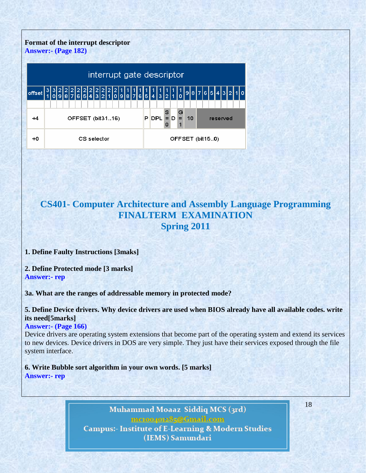# **Format of the interrupt descriptor**





# **CS401- Computer Architecture and Assembly Language Programming FINALTERM EXAMINATION Spring 2011**

### **1. Define Faulty Instructions [3maks]**

**2. Define Protected mode [3 marks] Answer:- rep**

**3a. What are the ranges of addressable memory in protected mode?**

**5. Define Device drivers. Why device drivers are used when BIOS already have all available codes. write its need[5marks]**

#### **Answer:- (Page 166)**

Device drivers are operating system extensions that become part of the operating system and extend its services to new devices. Device drivers in DOS are very simple. They just have their services exposed through the file system interface.

**6. Write Bubble sort algorithm in your own words. [5 marks] Answer:- rep**

> Muhammad Moaaz Siddiq MCS (3rd) mc.compress@Gmail.com **Campus:- Institute of E-Learning & Modern Studies** (IEMS) Samundari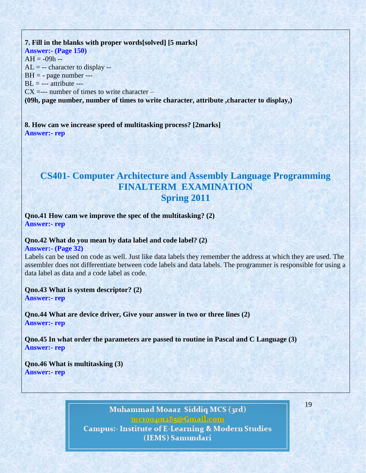# **7. Fill in the blanks with proper words[solved] [5 marks] Answer:- (Page 150)**  $AH = -09h AL = -$ - character to display  $BH = -$  page number --- $BL = --$  attribute  $- CX = --$  number of times to write character – **(09h, page number, number of times to write character, attribute ,character to display,)**

**8. How can we increase speed of multitasking process? [2marks] Answer:- rep**

# **CS401- Computer Architecture and Assembly Language Programming FINALTERM EXAMINATION Spring 2011**

**Qno.41 How cam we improve the spec of the multitasking? (2) Answer:- rep**

### **Qno.42 What do you mean by data label and code label? (2)**

**Answer:- (Page 32)** 

Labels can be used on code as well. Just like data labels they remember the address at which they are used. The assembler does not differentiate between code labels and data labels. The programmer is responsible for using a data label as data and a code label as code.

**Qno.43 What is system descriptor? (2)**

**Answer:- rep**

**Qno.44 What are device driver, Give your answer in two or three lines (2) Answer:- rep**

**Qno.45 In what order the parameters are passed to routine in Pascal and C Language (3) Answer:- rep**

**Qno.46 What is multitasking (3) Answer:- rep**

> Muhammad Moaaz Siddiq MCS (3rd) mctoo4ot285@Gmail.com **Campus:- Institute of E-Learning & Modern Studies** (IEMS) Samundari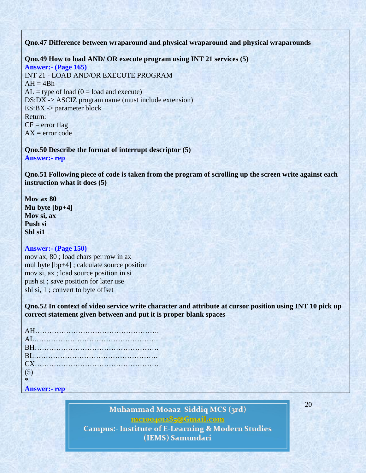**Qno.47 Difference between wraparound and physical wraparound and physical wraparounds**

**Qno.49 How to load AND/ OR execute program using INT 21 services (5) Answer:- (Page 165)** INT 21 - LOAD AND/OR EXECUTE PROGRAM  $AH = 4Bh$  $AL = type of load (0 = load and execute)$ DS:DX -> ASCIZ program name (must include extension) ES:BX -> parameter block Return:  $CF = error flag$  $AX = error code$ 

**Qno.50 Describe the format of interrupt descriptor (5) Answer:- rep**

**Qno.51 Following piece of code is taken from the program of scrolling up the screen write against each instruction what it does (5)**

**Mov ax 80 Mu byte [bp+4] Mov si, ax Push si Shl si1**

#### **Answer:- (Page 150)**

mov ax, 80 ; load chars per row in ax mul byte [bp+4] ; calculate source position mov si, ax ; load source position in si push si ; save position for later use shl si, 1 ; convert to byte offset

**Qno.52 In context of video service write character and attribute at cursor position using INT 10 pick up correct statement given between and put it is proper blank spaces**

| CX                  |  |  |
|---------------------|--|--|
| (5)                 |  |  |
| $*$                 |  |  |
| <b>Answer:- rep</b> |  |  |

Muhammad Moaaz Siddiq MCS (3rd) mctoo4ot285@Gmail.com **Campus:- Institute of E-Learning & Modern Studies** (IEMS) Samundari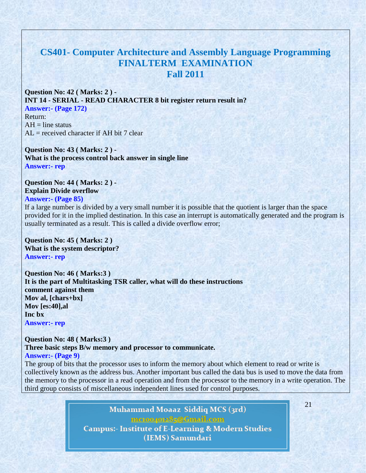# **CS401- Computer Architecture and Assembly Language Programming FINALTERM EXAMINATION Fall 2011**

**Question No: 42 ( Marks: 2 ) - INT 14 - SERIAL - READ CHARACTER 8 bit register return result in? Answer:- (Page 172)** Return:  $AH = line$  status  $AL = received character if AH bit 7 clear$ 

**Question No: 43 ( Marks: 2 ) - What is the process control back answer in single line Answer:- rep**

# **Question No: 44 ( Marks: 2 ) - Explain Divide overflow**

#### **Answer:- (Page 85)**

If a large number is divided by a very small number it is possible that the quotient is larger than the space provided for it in the implied destination. In this case an interrupt is automatically generated and the program is usually terminated as a result. This is called a divide overflow error;

**Question No: 45 ( Marks: 2 ) What is the system descriptor? Answer:- rep**

**Question No: 46 ( Marks:3 ) It is the part of Multitasking TSR caller, what will do these instructions comment against them Mov al, [chars+bx] Mov [es:40],al Inc bx Answer:- rep**

**Question No: 48 ( Marks:3 ) Three basic steps B/w memory and processor to communicate. Answer:- (Page 9)**

The group of bits that the processor uses to inform the memory about which element to read or write is collectively known as the address bus. Another important bus called the data bus is used to move the data from the memory to the processor in a read operation and from the processor to the memory in a write operation. The third group consists of miscellaneous independent lines used for control purposes.

> Muhammad Moaaz Siddiq MCS (3rd) metoopote85@Cmail.com **Campus:- Institute of E-Learning & Modern Studies** (IEMS) Samundari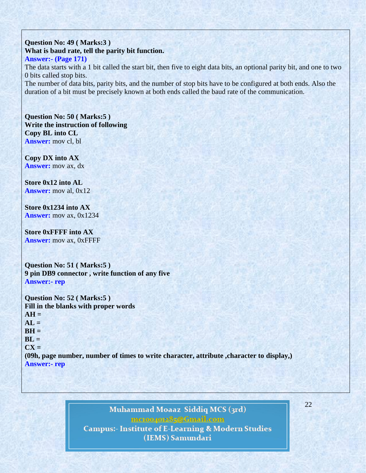**Question No: 49 ( Marks:3 ) What is baud rate, tell the parity bit function. Answer:- (Page 171)** The data starts with a 1 bit called the start bit, then five to eight data bits, an optional parity bit, and one to two 0 bits called stop bits. The number of data bits, parity bits, and the number of stop bits have to be configured at both ends. Also the duration of a bit must be precisely known at both ends called the baud rate of the communication.

**Question No: 50 ( Marks:5 ) Write the instruction of following Copy BL into CL Answer:** mov cl, bl

**Copy DX into AX Answer:** mov ax, dx

**Store 0x12 into AL Answer:** mov al, 0x12

**Store 0x1234 into AX Answer:** mov ax, 0x1234

**Store 0xFFFF into AX Answer:** mov ax, 0xFFFF

**Question No: 51 ( Marks:5 ) 9 pin DB9 connector , write function of any five Answer:- rep**

**Question No: 52 ( Marks:5 ) Fill in the blanks with proper words**  $AH =$  $AL =$  $BH =$  $BL =$ **CX = (09h, page number, number of times to write character, attribute ,character to display,) Answer:- rep**

# Muhammad Moaaz Siddiq MCS (3rd) mctoo4ot285@Gmail.com **Campus:- Institute of E-Learning & Modern Studies** (IEMS) Samundari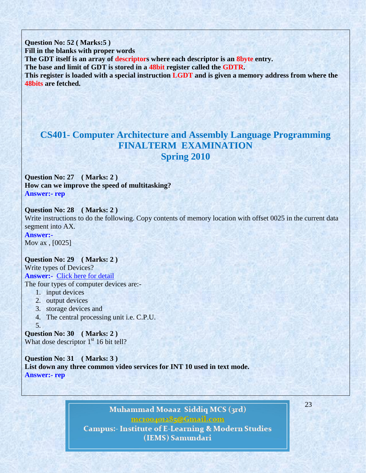**Question No: 52 ( Marks:5 ) Fill in the blanks with proper words The GDT itself is an array of descriptors where each descriptor is an 8byte entry. The base and limit of GDT is stored in a 48bit register called the GDTR. This register is loaded with a special instruction LGDT and is given a memory address from where the 48bits are fetched.**

# **CS401- Computer Architecture and Assembly Language Programming FINALTERM EXAMINATION Spring 2010**

**Question No: 27 ( Marks: 2 ) How can we improve the speed of multitasking? Answer:- rep** 

**Question No: 28 ( Marks: 2 )**  Write instructions to do the following. Copy contents of memory location with offset 0025 in the current data segment into AX.

**Answer:-** Mov ax , [0025]

**Question No: 29 ( Marks: 2 )**  Write types of Devices? **Answer:-** [Click here for detail](http://wiki.answers.com/Q/What_are_4_types_of_computer_devices) The four types of computer devices are:-

- 1. input devices
- 2. output devices
- 3. storage devices and
- 4. The central processing unit i.e. C.P.U.

5. **Question No: 30 ( Marks: 2 )**  What dose descriptor  $1<sup>st</sup> 16$  bit tell?

**Question No: 31 ( Marks: 3 ) List down any three common video services for INT 10 used in text mode. Answer:- rep** 

> Muhammad Moaaz Siddiq MCS (3rd) mctoo4ot285@Gmail.com **Campus:- Institute of E-Learning & Modern Studies** (IEMS) Samundari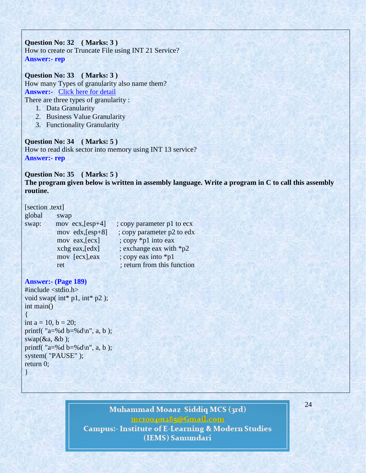**Question No: 32 ( Marks: 3 )**  How to create or Truncate File using INT 21 Service? **Answer:- rep** 

**Question No: 33 ( Marks: 3 )**  How many Types of granularity also name them? **Answer:-** [Click here for detail](http://www.google.com.pk/url?sa=t&rct=j&q=&esrc=s&source=web&cd=3&ved=0CFMQFjAC&url=http%3A%2F%2Fwww.iaeng.org%2Fpublication%2FWCECS2010%2FWCECS2010_pp400-405.pdf&ei=LEr0T8qpG86N4gSFpZ3-Bg&usg=AFQjCNGmfLu7G3XWGOu8h4X8aj7DSTDFtw&sig2=_LxuEVUizyeb4PAuFy_s9g) There are three types of granularity :

- 1. Data Granularity
- 2. Business Value Granularity
- 3. Functionality Granularity

**Question No: 34 ( Marks: 5 )**  How to read disk sector into memory using INT 13 service? **Answer:- rep** 

**Question No: 35 ( Marks: 5 )** 

**The program given below is written in assembly language. Write a program in C to call this assembly routine.** 

[section .text]

| global | swap               |                             |
|--------|--------------------|-----------------------------|
| swap:  | mov ecx, $[esp+4]$ | ; copy parameter p1 to ecx  |
|        | mov edx, [esp+8]   | ; copy parameter p2 to edx  |
|        | mov eax, [ecx]     | ; copy *p1 into eax         |
|        | xchg eax, [edx]    | ; exchange eax with *p2     |
|        | mov [ecx], eax     | ; copy eax into *p1         |
|        | ret                | ; return from this function |

### **Answer:- (Page 189)**

```
#include <stdio.h>
void swap( int* p1, int* p2);
int main()
{
int a = 10, b = 20;
printf(a=%d b=%d\n, a, b);
swap(\&a, \&b);printf( "a=%d b=%d\n", a, b);
system( "PAUSE" );
return 0;
```
}

# Muhammad Moaaz Siddiq MCS (3rd) mctoo4ot285@Gmail.com

**Campus:- Institute of E-Learning & Modern Studies** (IEMS) Samundari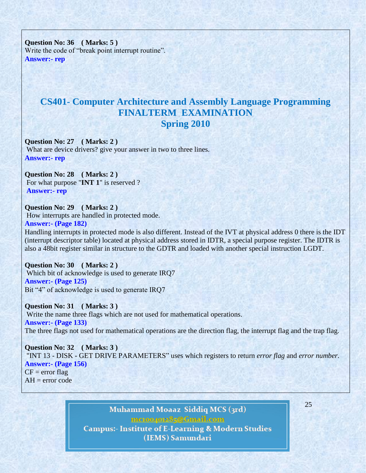**Question No: 36 ( Marks: 5 )**  Write the code of "break point interrupt routine". **Answer:- rep** 

# **CS401- Computer Architecture and Assembly Language Programming FINALTERM EXAMINATION Spring 2010**

**Question No: 27 ( Marks: 2 )**  What are device drivers? give your answer in two to three lines. **Answer:- rep** 

**Question No: 28 ( Marks: 2 )**  For what purpose "**INT 1**" is reserved ? **Answer:- rep** 

**Question No: 29 ( Marks: 2 )**  How interrupts are handled in protected mode. **Answer:- (Page 182)**

Handling interrupts in protected mode is also different. Instead of the IVT at physical address 0 there is the IDT (interrupt descriptor table) located at physical address stored in IDTR, a special purpose register. The IDTR is also a 48bit register similar in structure to the GDTR and loaded with another special instruction LGDT.

**Question No: 30 ( Marks: 2 )**  Which bit of acknowledge is used to generate IRQ7 **Answer:- (Page 125)** Bit "4" of acknowledge is used to generate IRQ7

**Question No: 31 ( Marks: 3 )**  Write the name three flags which are not used for mathematical operations. **Answer:- (Page 133)** The three flags not used for mathematical operations are the direction flag, the interrupt flag and the trap flag.

**Question No: 32 ( Marks: 3 )**  "INT 13 - DISK - GET DRIVE PARAMETERS" uses which registers to return *error flag* and *error number*. **Answer:- (Page 156)**  $CF = error flag$  $AH = error code$ 

> Muhammad Moaaz Siddiq MCS (3rd) mctoo4ot285@Gmail.com **Campus:- Institute of E-Learning & Modern Studies** (IEMS) Samundari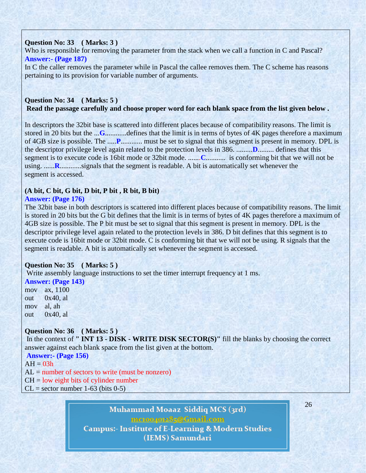### **Question No: 33 ( Marks: 3 )**

Who is responsible for removing the parameter from the stack when we call a function in C and Pascal? **Answer:- (Page 187)**

In C the caller removes the parameter while in Pascal the callee removes them. The C scheme has reasons pertaining to its provision for variable number of arguments.

### **Question No: 34 ( Marks: 5 ) Read the passage carefully and choose proper word for each blank space from the list given below .**

In descriptors the 32bit base is scattered into different places because of compatibility reasons. The limit is stored in 20 bits but the ...**G**............defines that the limit is in terms of bytes of 4K pages therefore a maximum of 4GB size is possible. The .....**P**............ must be set to signal that this segment is present in memory. DPL is the descriptor privilege level again related to the protection levels in 386. .........**D**......... defines that this segment is to execute code is 16bit mode or 32bit mode. .......**C**........... is conforming bit that we will not be using. ......**R.**............signals that the segment is readable. A bit is automatically set whenever the segment is accessed.

## **(A bit, C bit, G bit, D bit, P bit , R bit, B bit)**

### **Answer: (Page 176)**

The 32bit base in both descriptors is scattered into different places because of compatibility reasons. The limit is stored in 20 bits but the G bit defines that the limit is in terms of bytes of 4K pages therefore a maximum of 4GB size is possible. The P bit must be set to signal that this segment is present in memory. DPL is the descriptor privilege level again related to the protection levels in 386. D bit defines that this segment is to execute code is 16bit mode or 32bit mode. C is conforming bit that we will not be using. R signals that the segment is readable. A bit is automatically set whenever the segment is accessed.

## **Question No: 35 ( Marks: 5 )**

Write assembly language instructions to set the timer interrupt frequency at 1 ms.

#### **Answer: (Page 143)**

mov ax, 1100 out  $0x40$ , al mov al, ah out 0x40, al

## **Question No: 36 ( Marks: 5 )**

In the context of **" INT 13 - DISK - WRITE DISK SECTOR(S)"** fill the blanks by choosing the correct answer against each blank space from the list given at the bottom.

**Answer:- (Page 156)**

 $AH = 03h$ 

 $AL =$  number of sectors to write (must be nonzero)

 $CH = low$  eight bits of cylinder number

 $CL = sector number 1-63 (bits 0-5)$ 

# Muhammad Moaaz Siddiq MCS (3rd) mctoo4ot285@Gmail.com **Campus:- Institute of E-Learning & Modern Studies** (IEMS) Samundari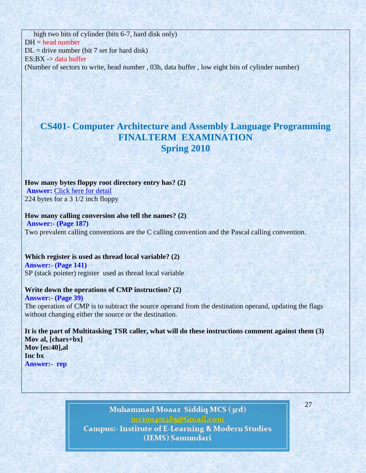high two bits of cylinder (bits 6-7, hard disk only)  $DH = head$  number  $DL =$  drive number (bit 7 set for hard disk) ES:BX -> data buffer (Number of sectors to write, head number , 03h, data buffer , low eight bits of cylinder number)

# **CS401- Computer Architecture and Assembly Language Programming FINALTERM EXAMINATION Spring 2010**

## **How many bytes floppy root directory entry has? (2)**

**Answer: [Click here for detail](http://www.codeguru.com/cpp/cpp/cpp_mfc/files/article.php/c13831/FAT-Root-Directory-Structure-on-Floppy-Disk-and-File-Information.htm)** 224 bytes for a 3 1/2 inch floppy

#### **How many calling conversion also tell the names? (2) Answer:- (Page 187)**

Two prevalent calling conventions are the C calling convention and the Pascal calling convention.

# **Which register is used as thread local variable? (2) Answer:- (Page 141)**

SP (stack pointer) register used as thread local variable

### **Write down the operations of CMP instruction? (2)**

**Answer:- (Page 39)** The operation of CMP is to subtract the source operand from the destination operand, updating the flags without changing either the source or the destination.

**It is the part of Multitasking TSR caller, what will do these instructions comment against them (3) Mov al, [chars+bx] Mov [es:40],al Inc bx Answer:- rep**

# Muhammad Moaaz Siddiq MCS (3rd) mctoo4ot285@Gmail.com **Campus:- Institute of E-Learning & Modern Studies** (IEMS) Samundari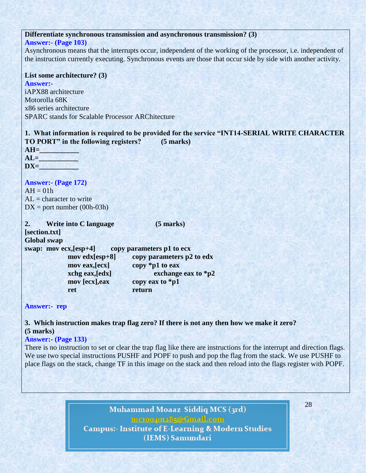### **Differentiate synchronous transmission and asynchronous transmission? (3)**

#### **Answer:- (Page 103)**

Asynchronous means that the interrupts occur, independent of the working of the processor, i.e. independent of the instruction currently executing. Synchronous events are those that occur side by side with another activity.

### **List some architecture? (3)**

**Answer:** iAPX88 architecture Motorolla 68K x86 series architecture SPARC stands for Scalable Processor ARChitecture

**1. What information is required to be provided for the service "INT14-SERIAL WRITE CHARACTER TO PORT" in the following registers? (5 marks) AH=\_\_\_\_\_\_\_\_\_\_\_**  $AL =$ 

 $DX =$ 

**Answer:- (Page 172)**  $AH = 01h$  $AL =$ character to write  $DX = port$  number (00h-03h)

**2. Write into C language (5 marks) [section.txt] Global swap**

**swap: mov ecx,[esp+4] copy parameters p1 to ecx mov edx[esp+8] copy parameters p2 to edx mov eax,[ecx] copy \*p1 to eax xchg eax,[edx] exchange eax to \*p2 mov [ecx],eax copy eax to \*p1 ret return**

**Answer:- rep**

**3. Which instruction makes trap flag zero? If there is not any then how we make it zero? (5 marks)**

#### **Answer:- (Page 133)**

There is no instruction to set or clear the trap flag like there are instructions for the interrupt and direction flags. We use two special instructions PUSHF and POPF to push and pop the flag from the stack. We use PUSHF to place flags on the stack, change TF in this image on the stack and then reload into the flags register with POPF.

> Muhammad Moaaz Siddiq MCS (3rd) mctoopot285@Gmail.com **Campus:- Institute of E-Learning & Modern Studies** (IEMS) Samundari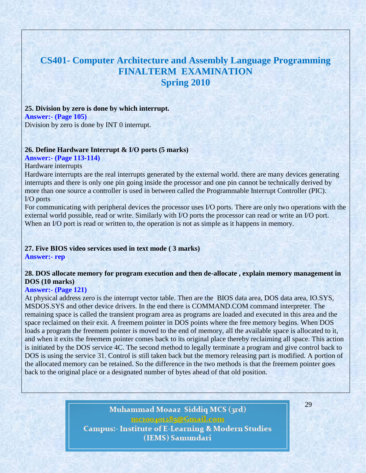# **CS401- Computer Architecture and Assembly Language Programming FINALTERM EXAMINATION Spring 2010**

#### **25. Division by zero is done by which interrupt. Answer:- (Page 105)** Division by zero is done by INT 0 interrupt.

#### **26. Define Hardware Interrupt & I/O ports (5 marks)**

### **Answer:- (Page 113-114)**

#### Hardware interrupts

Hardware interrupts are the real interrupts generated by the external world. there are many devices generating interrupts and there is only one pin going inside the processor and one pin cannot be technically derived by more than one source a controller is used in between called the Programmable Interrupt Controller (PIC). I/O ports

For communicating with peripheral devices the processor uses I/O ports. There are only two operations with the external world possible, read or write. Similarly with I/O ports the processor can read or write an I/O port. When an I/O port is read or written to, the operation is not as simple as it happens in memory.

# **27. Five BIOS video services used in text mode ( 3 marks)**

**Answer:- rep**

## **28. DOS allocate memory for program execution and then de-allocate , explain memory management in DOS (10 marks)**

#### **Answer:- (Page 121)**

At physical address zero is the interrupt vector table. Then are the BIOS data area, DOS data area, IO.SYS, MSDOS.SYS and other device drivers. In the end there is COMMAND.COM command interpreter. The remaining space is called the transient program area as programs are loaded and executed in this area and the space reclaimed on their exit. A freemem pointer in DOS points where the free memory begins. When DOS loads a program the freemem pointer is moved to the end of memory, all the available space is allocated to it, and when it exits the freemem pointer comes back to its original place thereby reclaiming all space. This action is initiated by the DOS service 4C. The second method to legally terminate a program and give control back to DOS is using the service 31. Control is still taken back but the memory releasing part is modified. A portion of the allocated memory can be retained. So the difference in the two methods is that the freemem pointer goes back to the original place or a designated number of bytes ahead of that old position.

> Muhammad Moaaz Siddiq MCS (3rd) meton/or285@Gmail.com **Campus:- Institute of E-Learning & Modern Studies** (IEMS) Samundari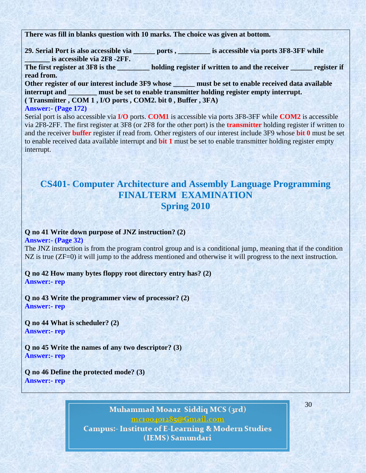**There was fill in blanks question with 10 marks. The choice was given at bottom.**

**29. Serial Port is also accessible via \_\_\_\_\_\_ ports , \_\_\_\_\_\_\_\_\_ is accessible via ports 3F8-3FF while \_\_\_\_\_\_\_ is accessible via 2F8 -2FF.**

The first register at 3F8 is the **holding register if written to and the receiver <u>sequence</u>** register if **read from.**

**Other register of our interest include 3F9 whose \_\_\_\_\_\_ must be set to enable received data available interrupt and \_\_\_\_\_\_\_\_\_\_\_ must be set to enable transmitter holding register empty interrupt. ( Transmitter , COM 1 , I/O ports , COM2. bit 0 , Buffer , 3FA)**

### **Answer:- (Page 172)**

Serial port is also accessible via **I/O** ports. **COM1** is accessible via ports 3F8-3FF while **COM2** is accessible via 2F8-2FF. The first register at 3F8 (or 2F8 for the other port) is the **transmitter** holding register if written to and the receiver **buffer** register if read from. Other registers of our interest include 3F9 whose **bit 0** must be set to enable received data available interrupt and **bit 1** must be set to enable transmitter holding register empty interrupt.

# **CS401- Computer Architecture and Assembly Language Programming FINALTERM EXAMINATION Spring 2010**

### **Q no 41 Write down purpose of JNZ instruction? (2)**

**Answer:- (Page 32)**

The JNZ instruction is from the program control group and is a conditional jump, meaning that if the condition NZ is true (ZF=0) it will jump to the address mentioned and otherwise it will progress to the next instruction.

### **Q no 42 How many bytes floppy root directory entry has? (2) Answer:- rep**

**Q no 43 Write the programmer view of processor? (2) Answer:- rep**

**Q no 44 What is scheduler? (2) Answer:- rep**

**Q no 45 Write the names of any two descriptor? (3) Answer:- rep**

**Q no 46 Define the protected mode? (3) Answer:- rep**

> Muhammad Moaaz Siddiq MCS (3rd) mctoo4ot285@Gmail.com **Campus:- Institute of E-Learning & Modern Studies** (IEMS) Samundari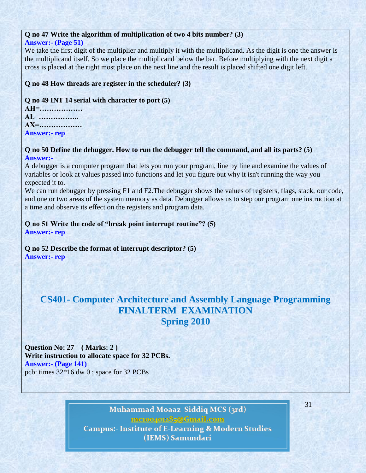### **Q no 47 Write the algorithm of multiplication of two 4 bits number? (3)**

## **Answer:- (Page 51)**

We take the first digit of the multiplier and multiply it with the multiplicand. As the digit is one the answer is the multiplicand itself. So we place the multiplicand below the bar. Before multiplying with the next digit a cross is placed at the right most place on the next line and the result is placed shifted one digit left.

## **Q no 48 How threads are register in the scheduler? (3)**

## **Q no 49 INT 14 serial with character to port (5)**

**AH=……………… AL=…………….. AX=……………… Answer:- rep**

### **Q no 50 Define the debugger. How to run the debugger tell the command, and all its parts? (5) Answer:-**

A debugger is a computer program that lets you run your program, line by line and examine the values of variables or look at values passed into functions and let you figure out why it isn't running the way you expected it to.

We can run debugger by pressing F1 and F2. The debugger shows the values of registers, flags, stack, our code, and one or two areas of the system memory as data. Debugger allows us to step our program one instruction at a time and observe its effect on the registers and program data.

## **Q no 51 Write the code of "break point interrupt routine"? (5) Answer:- rep**

**Q no 52 Describe the format of interrupt descriptor? (5) Answer:- rep**

# **CS401- Computer Architecture and Assembly Language Programming FINALTERM EXAMINATION Spring 2010**

**Question No: 27 ( Marks: 2 ) Write instruction to allocate space for 32 PCBs. Answer:- (Page 141)** pcb: times 32\*16 dw 0 ; space for 32 PCBs

> Muhammad Moaaz Siddiq MCS (3rd) mctoo4ot285@Gmail.com **Campus:- Institute of E-Learning & Modern Studies** (IEMS) Samundari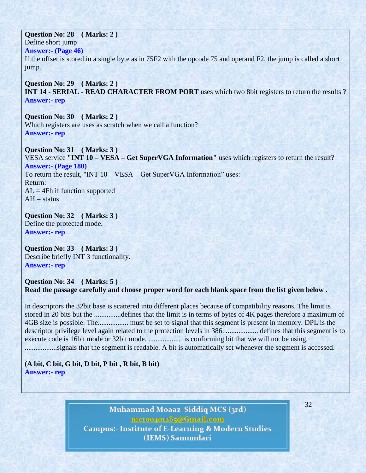**Question No: 28 ( Marks: 2 )** 

Define short jump

**Answer:- (Page 46)**

If the offset is stored in a single byte as in 75F2 with the opcode 75 and operand F2, the jump is called a short jump.

**Question No: 29 ( Marks: 2 ) INT 14 - SERIAL - READ CHARACTER FROM PORT** uses which two 8bit registers to return the results ? **Answer:- rep**

**Question No: 30 ( Marks: 2 )**  Which registers are uses as scratch when we call a function? **Answer:- rep**

**Question No: 31 ( Marks: 3 )**  VESA service **"INT 10 – VESA – Get SuperVGA Information"** uses which registers to return the result? **Answer:- (Page 180)** To return the result, "INT 10 – VESA – Get SuperVGA Information" uses: Return:  $AL = 4Fh$  if function supported  $AH = status$ 

**Question No: 32 ( Marks: 3 )**  Define the protected mode. **Answer:- rep**

**Question No: 33 ( Marks: 3 )**  Describe briefly INT 3 functionality. **Answer:- rep**

## **Question No: 34 ( Marks: 5 ) Read the passage carefully and choose proper word for each blank space from the list given below .**

In descriptors the 32bit base is scattered into different places because of compatibility reasons. The limit is stored in 20 bits but the ...............defines that the limit is in terms of bytes of 4K pages therefore a maximum of 4GB size is possible. The................. must be set to signal that this segment is present in memory. DPL is the descriptor privilege level again related to the protection levels in 386. .................. defines that this segment is to execute code is 16bit mode or 32bit mode. .................. is conforming bit that we will not be using. ..................signals that the segment is readable. A bit is automatically set whenever the segment is accessed.

**(A bit, C bit, G bit, D bit, P bit , R bit, B bit) Answer:- rep**

> Muhammad Moaaz Siddiq MCS (3rd) mctoo4ot285@Gmail.com **Campus:- Institute of E-Learning & Modern Studies** (IEMS) Samundari